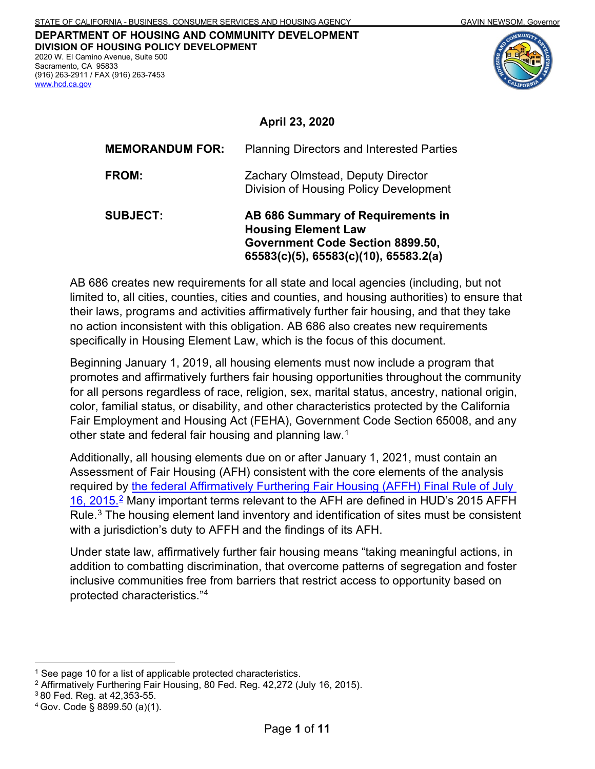#### **DEPARTMENT OF HOUSING AND COMMUNITY DEVELOPMENT DIVISION OF HOUSING POLICY DEVELOPMENT**  2020 W. El Camino Avenue, Suite 500

 Sacramento, CA 95833 (916) 263-2911 / FAX (916) 263-7453 [www.hcd.ca.gov](http://www.hcd.ca.gov/) 





#### **April 23, 2020**

| <b>SUBJECT:</b>        | AB 686 Summary of Requirements in<br><b>Housing Element Law</b><br>Government Code Section 8899.50,<br>65583(c)(5), 65583(c)(10), 65583.2(a) |
|------------------------|----------------------------------------------------------------------------------------------------------------------------------------------|
| FROM:                  | Zachary Olmstead, Deputy Director<br>Division of Housing Policy Development                                                                  |
| <b>MEMORANDUM FOR:</b> | <b>Planning Directors and Interested Parties</b>                                                                                             |

 specifically in Housing Element Law, which is the focus of this document. AB 686 creates new requirements for all state and local agencies (including, but not limited to, all cities, counties, cities and counties, and housing authorities) to ensure that their laws, programs and activities affirmatively further fair housing, and that they take no action inconsistent with this obligation. AB 686 also creates new requirements

 Fair Employment and Housing Act (FEHA), Government Code Section 65008, and any other state and federal fair housing and planning law. [1](#page-0-0) Beginning January 1, 2019, all housing elements must now include a program that promotes and affirmatively furthers fair housing opportunities throughout the community for all persons regardless of race, religion, sex, marital status, ancestry, national origin, color, familial status, or disability, and other characteristics protected by the California

Rule. $3$  The housing element land inventory and identification of sites must be consistent Additionally, all housing elements due on or after January 1, 2021, must contain an Assessment of Fair Housing (AFH) consistent with the core elements of the analysis required by [the federal Affirmatively Furthering Fair Housing \(AFFH\) Final Rule of July](https://www.govinfo.gov/content/pkg/FR-2015-07-16/pdf/2015-17032.pdf)  16, 2015.<sup>2</sup> Many important terms relevant to the AFH are defined in HUD's 2015 AFFH with a jurisdiction's duty to AFFH and the findings of its AFH.

Under state law, affirmatively further fair housing means "taking meaningful actions, in addition to combatting discrimination, that overcome patterns of segregation and foster inclusive communities free from barriers that restrict access to opportunity based on protected characteristics."[4](#page-0-3)

<span id="page-0-0"></span><sup>&</sup>lt;sup>1</sup> See page 10 for a list of applicable protected characteristics.

<span id="page-0-1"></span><sup>2</sup> Affirmatively Furthering Fair Housing, 80 Fed. Reg. 42,272 (July 16, 2015).

<span id="page-0-2"></span><sup>3 80</sup> Fed. Reg. at 42,353-55.

<span id="page-0-3"></span><sup>4</sup> Gov. Code § 8899.50 (a)(1).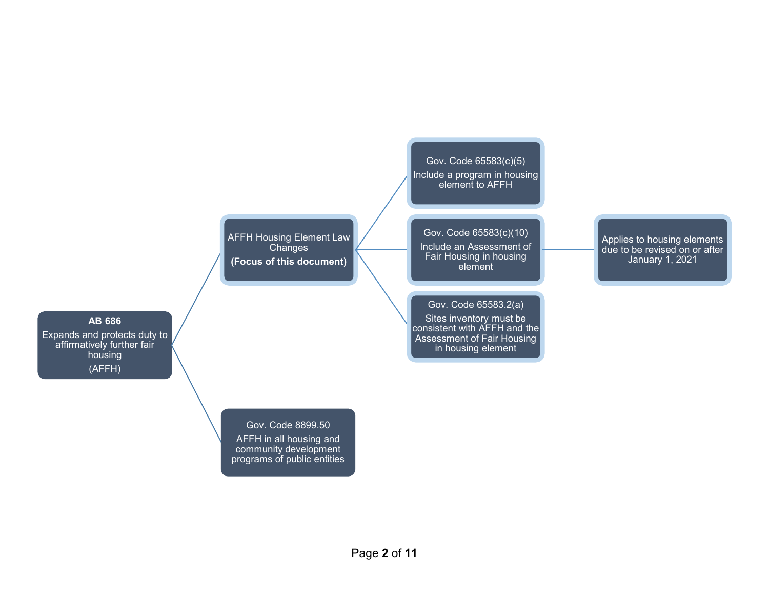Gov. Code 65583(c)(5) Include a program in housing element to AFFH

AFFH Housing Element Law **Changes (Focus of this document)** 

#### Gov. Code 65583(c)(10)

Include an Assessment of Fair Housing in housing element

Gov. Code 65583.2(a)

Sites inventory must be consistent with AFFH and the Assessment of Fair Housing in housing element

Applies to housing elements due to be revised on or after January 1, 2021

#### **AB 686**

Expands and protects duty to affirmatively further fair housing (AFFH)

> Gov. Code 8899.50 AFFH in all housing and community development programs of public entities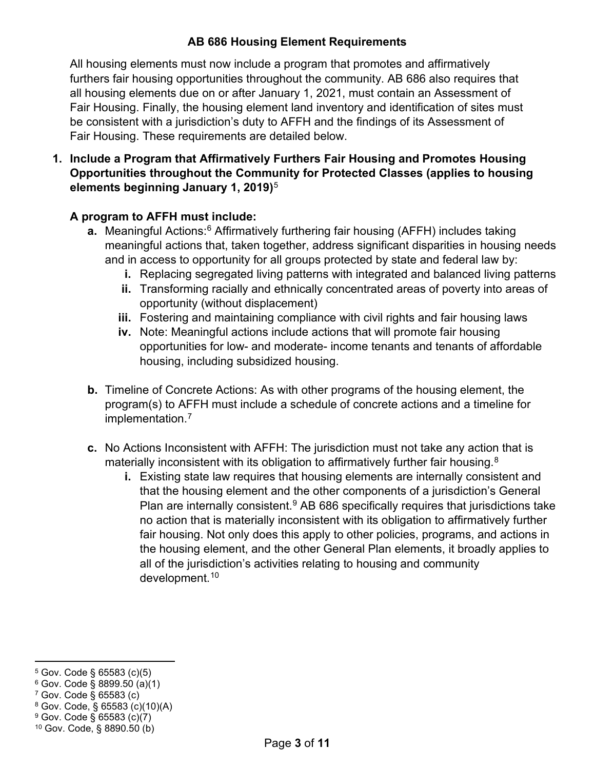# **AB 686 Housing Element Requirements**

 All housing elements must now include a program that promotes and affirmatively all housing elements due on or after January 1, 2021, must contain an Assessment of Fair Housing. These requirements are detailed below. furthers fair housing opportunities throughout the community. AB 686 also requires that Fair Housing. Finally, the housing element land inventory and identification of sites must be consistent with a jurisdiction's duty to AFFH and the findings of its Assessment of

 **elements beginning January 1, 2019)**[5](#page-2-0) **1. Include a Program that Affirmatively Furthers Fair Housing and Promotes Housing Opportunities throughout the Community for Protected Classes (applies to housing** 

## **A program to AFFH must include:**

- **a.** Meaningful Actions:<sup>6</sup> Affirmatively furthering fair housing (AFFH) includes taking meaningful actions that, taken together, address significant disparities in housing needs and in access to opportunity for all groups protected by state and federal law by:
	- **i.** Replacing segregated living patterns with integrated and balanced living patterns
	- **ii.** Transforming racially and ethnically concentrated areas of poverty into areas of opportunity (without displacement)
	- **iii.** Fostering and maintaining compliance with civil rights and fair housing laws
	- **iv.** Note: Meaningful actions include actions that will promote fair housing opportunities for low- and moderate- income tenants and tenants of affordable housing, including subsidized housing.
- **b.** Timeline of Concrete Actions: As with other programs of the housing element, the program(s) to AFFH must include a schedule of concrete actions and a timeline for implementation.<sup>7</sup>
- **c.** No Actions Inconsistent with AFFH: The jurisdiction must not take any action that is materially inconsistent with its obligation to affirmatively further fair housing.  $8$ 
	- **i.** Existing state law requires that housing elements are internally consistent and that the housing element and the other components of a jurisdiction's General Plan are internally consistent. $9$  AB 686 specifically requires that jurisdictions take no action that is materially inconsistent with its obligation to affirmatively further fair housing. Not only does this apply to other policies, programs, and actions in the housing element, and the other General Plan elements, it broadly applies to all of the jurisdiction's activities relating to housing and community development.[10](#page-2-5)

<span id="page-2-0"></span><sup>5</sup> Gov. Code § 65583 (c)(5)

<span id="page-2-1"></span><sup>6</sup> Gov. Code § 8899.50 (a)(1)

<span id="page-2-2"></span><sup>7</sup> Gov. Code § 65583 (c)

<span id="page-2-3"></span><sup>8</sup> Gov. Code, § 65583 (c)(10)(A)

<span id="page-2-5"></span><span id="page-2-4"></span><sup>9</sup> Gov. Code § 65583 (c)(7) 10 Gov. Code, § 8890.50 (b)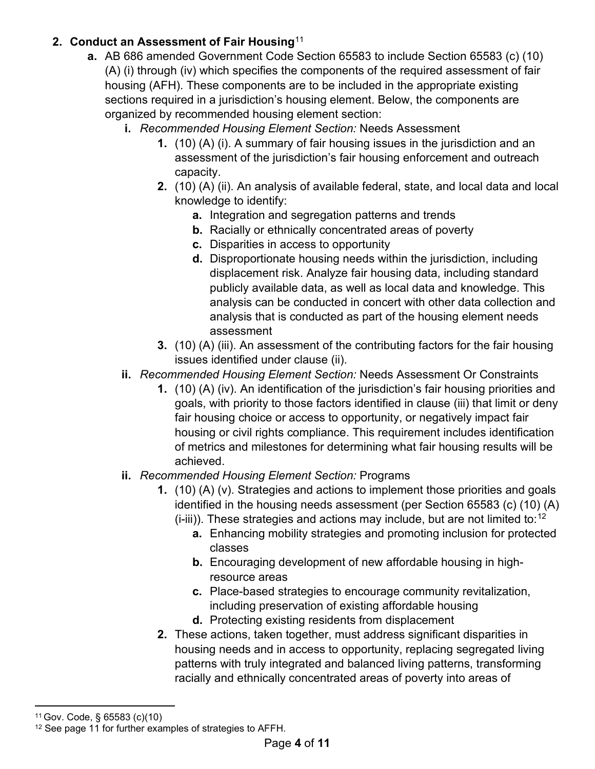# **2. Conduct an Assessment of Fair Housing**[11](#page-3-0)

- (A) (i) through (iv) which specifies the components of the required assessment of fair **a.** AB 686 amended Government Code Section 65583 to include Section 65583 (c) (10) housing (AFH). These components are to be included in the appropriate existing sections required in a jurisdiction's housing element. Below, the components are organized by recommended housing element section:
	- **i.** *Recommended Housing Element Section:* Needs Assessment
		- **1.** (10) (A) (i). A summary of fair housing issues in the jurisdiction and an assessment of the jurisdiction's fair housing enforcement and outreach capacity.
		- **2.** (10) (A) (ii). An analysis of available federal, state, and local data and local knowledge to identify:
			- **a.** Integration and segregation patterns and trends
			- **b.** Racially or ethnically concentrated areas of poverty
			- **c.** Disparities in access to opportunity
			- analysis that is conducted as part of the housing element needs **d.** Disproportionate housing needs within the jurisdiction, including displacement risk. Analyze fair housing data, including standard publicly available data, as well as local data and knowledge. This analysis can be conducted in concert with other data collection and assessment
		- **3.** (10) (A) (iii). An assessment of the contributing factors for the fair housing issues identified under clause (ii).
	- **ii.** *Recommended Housing Element Section:* Needs Assessment Or Constraints
		- goals, with priority to those factors identified in clause (iii) that limit or deny **1.** (10) (A) (iv). An identification of the jurisdiction's fair housing priorities and fair housing choice or access to opportunity, or negatively impact fair housing or civil rights compliance. This requirement includes identification of metrics and milestones for determining what fair housing results will be achieved.
	- **ii.** *Recommended Housing Element Section:* Programs
		- **1.** (10) (A) (v). Strategies and actions to implement those priorities and goals identified in the housing needs assessment (per Section 65583 (c) (10) (A)
			- $(i-iii)$ ). These strategies and actions may include, but are not limited to:<sup>[12](#page-3-1)</sup>
				- **a.** Enhancing mobility strategies and promoting inclusion for protected classes
				- **b.** Encouraging development of new affordable housing in highresource areas
				- **c.** Place-based strategies to encourage community revitalization, including preservation of existing affordable housing
				- **d.** Protecting existing residents from displacement
		- **2.** These actions, taken together, must address significant disparities in housing needs and in access to opportunity, replacing segregated living patterns with truly integrated and balanced living patterns, transforming racially and ethnically concentrated areas of poverty into areas of

<span id="page-3-0"></span><sup>11</sup> Gov. Code, § 65583 (c)(10)

<span id="page-3-1"></span><sup>&</sup>lt;sup>12</sup> See page 11 for further examples of strategies to AFFH.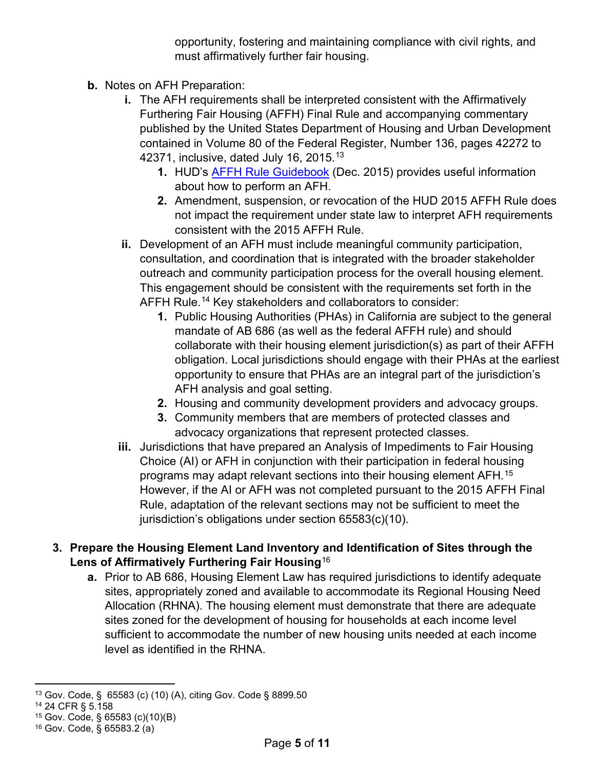opportunity, fostering and maintaining compliance with civil rights, and must affirmatively further fair housing.

- **b.** Notes on AFH Preparation:
	- **i.** The AFH requirements shall be interpreted consistent with the Affirmatively Furthering Fair Housing (AFFH) Final Rule and accompanying commentary published by the United States Department of Housing and Urban Development contained in Volume 80 of the Federal Register, Number 136, pages 42272 to 42371, inclusive, dated July 16, 2015.[13](#page-4-0)
		- **1.** HUD's [AFFH Rule Guidebook](https://files.hudexchange.info/resources/documents/AFFH-Rule-Guidebook.pdf) (Dec. 2015) provides useful information about how to perform an AFH.
		- **2.** Amendment, suspension, or revocation of the HUD 2015 AFFH Rule does not impact the requirement under state law to interpret AFH requirements consistent with the 2015 AFFH Rule.
	- **ii.** Development of an AFH must include meaningful community participation, consultation, and coordination that is integrated with the broader stakeholder outreach and community participation process for the overall housing element. This engagement should be consistent with the requirements set forth in the AFFH Rule.<sup>[14](#page-4-1)</sup> Key stakeholders and collaborators to consider:
		- obligation. Local jurisdictions should engage with their PHAs at the earliest **1.** Public Housing Authorities (PHAs) in California are subject to the general mandate of AB 686 (as well as the federal AFFH rule) and should collaborate with their housing element jurisdiction(s) as part of their AFFH opportunity to ensure that PHAs are an integral part of the jurisdiction's AFH analysis and goal setting.
		- **2.** Housing and community development providers and advocacy groups.
		- **3.** Community members that are members of protected classes and advocacy organizations that represent protected classes.
	- Choice (AI) or AFH in conjunction with their participation in federal housing Rule, adaptation of the relevant sections may not be sufficient to meet the **iii.** Jurisdictions that have prepared an Analysis of Impediments to Fair Housing programs may adapt relevant sections into their housing element AFH. [15](#page-4-2) However, if the AI or AFH was not completed pursuant to the 2015 AFFH Final jurisdiction's obligations under section 65583(c)(10).
- **3. Prepare the Housing Element Land Inventory and Identification of Sites through the Lens of Affirmatively Furthering Fair Housing**[16](#page-4-3)
	- level as identified in the RHNA. **a.** Prior to AB 686, Housing Element Law has required jurisdictions to identify adequate sites, appropriately zoned and available to accommodate its Regional Housing Need Allocation (RHNA). The housing element must demonstrate that there are adequate sites zoned for the development of housing for households at each income level sufficient to accommodate the number of new housing units needed at each income

<span id="page-4-0"></span><sup>13</sup> Gov. Code, § 65583 (c) (10) (A), citing Gov. Code § 8899.50

<span id="page-4-1"></span><sup>14 24</sup> CFR § 5.158

<span id="page-4-2"></span><sup>15</sup> Gov. Code, § 65583 (c)(10)(B)

<span id="page-4-3"></span> $16$  Gov. Code,  $\S$  65583.2 (a)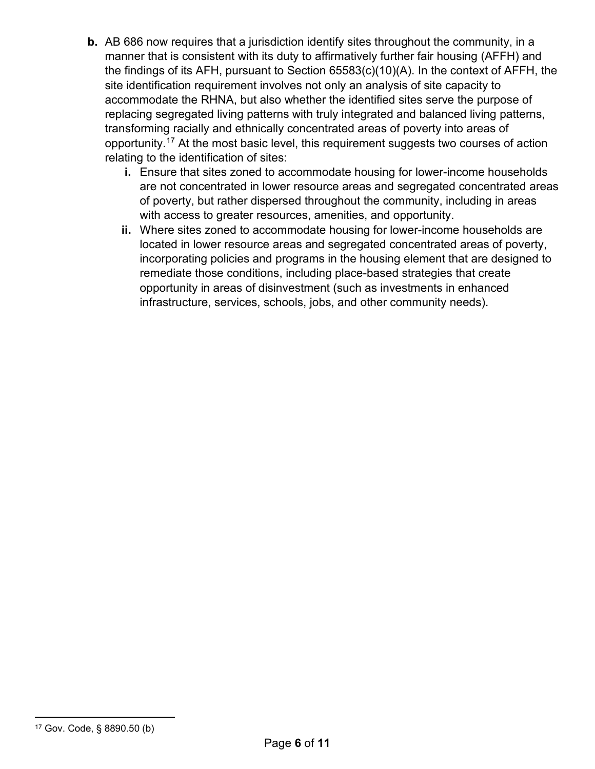- site identification requirement involves not only an analysis of site capacity to **b.** AB 686 now requires that a jurisdiction identify sites throughout the community, in a manner that is consistent with its duty to affirmatively further fair housing (AFFH) and the findings of its AFH, pursuant to Section 65583(c)(10)(A). In the context of AFFH, the accommodate the RHNA, but also whether the identified sites serve the purpose of replacing segregated living patterns with truly integrated and balanced living patterns, transforming racially and ethnically concentrated areas of poverty into areas of opportunity.<sup>[17](#page-5-0)</sup> At the most basic level, this requirement suggests two courses of action relating to the identification of sites:
	- **i.** Ensure that sites zoned to accommodate housing for lower-income households are not concentrated in lower resource areas and segregated concentrated areas of poverty, but rather dispersed throughout the community, including in areas with access to greater resources, amenities, and opportunity.
	- located in lower resource areas and segregated concentrated areas of poverty, **ii.** Where sites zoned to accommodate housing for lower-income households are incorporating policies and programs in the housing element that are designed to remediate those conditions, including place-based strategies that create opportunity in areas of disinvestment (such as investments in enhanced infrastructure, services, schools, jobs, and other community needs).

<span id="page-5-0"></span><sup>17</sup> Gov. Code, § 8890.50 (b)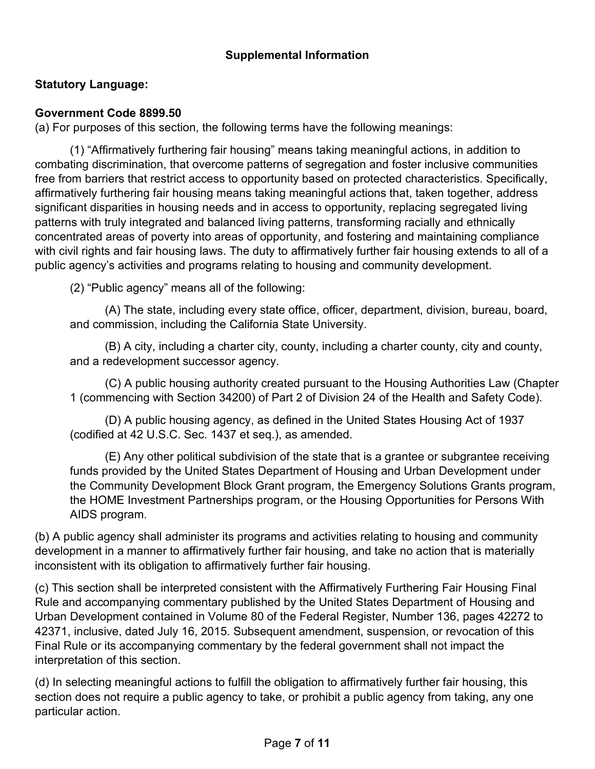## **Supplemental Information**

# **Statutory Language:**

#### **Government Code 8899.50**

(a) For purposes of this section, the following terms have the following meanings:

(1) "Affirmatively furthering fair housing" means taking meaningful actions, in addition to combating discrimination, that overcome patterns of segregation and foster inclusive communities free from barriers that restrict access to opportunity based on protected characteristics. Specifically, affirmatively furthering fair housing means taking meaningful actions that, taken together, address significant disparities in housing needs and in access to opportunity, replacing segregated living patterns with truly integrated and balanced living patterns, transforming racially and ethnically concentrated areas of poverty into areas of opportunity, and fostering and maintaining compliance with civil rights and fair housing laws. The duty to affirmatively further fair housing extends to all of a public agency's activities and programs relating to housing and community development.

(2) "Public agency" means all of the following:

 (A) The state, including every state office, officer, department, division, bureau, board, and commission, including the California State University.

(B) A city, including a charter city, county, including a charter county, city and county, and a redevelopment successor agency.

(C) A public housing authority created pursuant to the Housing Authorities Law (Chapter 1 (commencing with Section 34200) of Part 2 of Division 24 of the Health and Safety Code).

 (D) A public housing agency, as defined in the United States Housing Act of 1937 (codified at 42 U.S.C. Sec. 1437 et seq.), as amended.

 the HOME Investment Partnerships program, or the Housing Opportunities for Persons With (E) Any other political subdivision of the state that is a grantee or subgrantee receiving funds provided by the United States Department of Housing and Urban Development under the Community Development Block Grant program, the Emergency Solutions Grants program, AIDS program.

 (b) A public agency shall administer its programs and activities relating to housing and community development in a manner to affirmatively further fair housing, and take no action that is materially inconsistent with its obligation to affirmatively further fair housing.

(c) This section shall be interpreted consistent with the Affirmatively Furthering Fair Housing Final Rule and accompanying commentary published by the United States Department of Housing and Urban Development contained in Volume 80 of the Federal Register, Number 136, pages 42272 to 42371, inclusive, dated July 16, 2015. Subsequent amendment, suspension, or revocation of this Final Rule or its accompanying commentary by the federal government shall not impact the interpretation of this section.

 section does not require a public agency to take, or prohibit a public agency from taking, any one (d) In selecting meaningful actions to fulfill the obligation to affirmatively further fair housing, this particular action.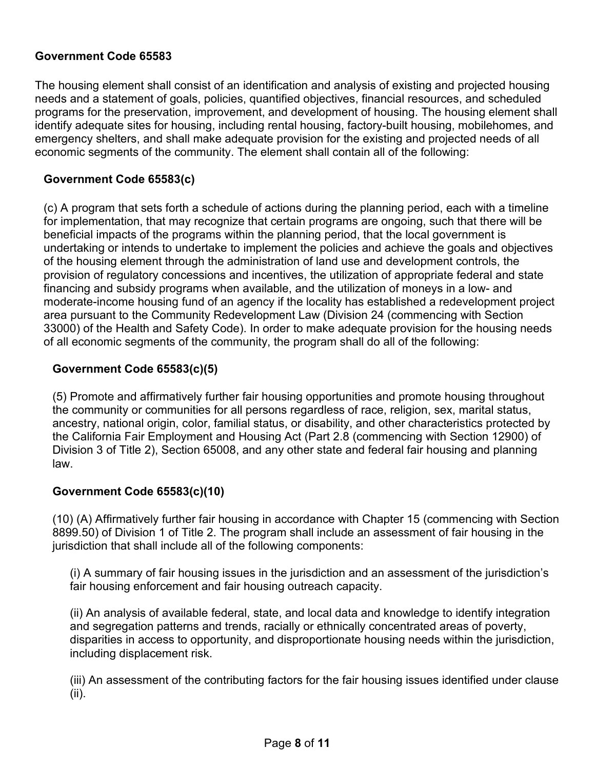#### **Government Code 65583**

 The housing element shall consist of an identification and analysis of existing and projected housing needs and a statement of goals, policies, quantified objectives, financial resources, and scheduled identify adequate sites for housing, including rental housing, factory-built housing, mobilehomes, and emergency shelters, and shall make adequate provision for the existing and projected needs of all programs for the preservation, improvement, and development of housing. The housing element shall economic segments of the community. The element shall contain all of the following:

#### **Government Code 65583(c)**

(c) A program that sets forth a schedule of actions during the planning period, each with a timeline for implementation, that may recognize that certain programs are ongoing, such that there will be beneficial impacts of the programs within the planning period, that the local government is undertaking or intends to undertake to implement the policies and achieve the goals and objectives of the housing element through the administration of land use and development controls, the provision of regulatory concessions and incentives, the utilization of appropriate federal and state financing and subsidy programs when available, and the utilization of moneys in a low- and moderate-income housing fund of an agency if the locality has established a redevelopment project area pursuant to the Community Redevelopment Law (Division 24 (commencing with Section 33000) of the Health and Safety Code). In order to make adequate provision for the housing needs of all economic segments of the community, the program shall do all of the following:

#### **Government Code 65583(c)(5)**

 the community or communities for all persons regardless of race, religion, sex, marital status, ancestry, national origin, color, familial status, or disability, and other characteristics protected by the California Fair Employment and Housing Act (Part 2.8 (commencing with Section 12900) of (5) Promote and affirmatively further fair housing opportunities and promote housing throughout Division 3 of Title 2), Section 65008, and any other state and federal fair housing and planning law.

#### **Government Code 65583(c)(10)**

 (10) (A) Affirmatively further fair housing in accordance with Chapter 15 (commencing with Section 8899.50) of Division 1 of Title 2. The program shall include an assessment of fair housing in the jurisdiction that shall include all of the following components:

(i) A summary of fair housing issues in the jurisdiction and an assessment of the jurisdiction's fair housing enforcement and fair housing outreach capacity.

 and segregation patterns and trends, racially or ethnically concentrated areas of poverty, (ii) An analysis of available federal, state, and local data and knowledge to identify integration disparities in access to opportunity, and disproportionate housing needs within the jurisdiction, including displacement risk.

(iii) An assessment of the contributing factors for the fair housing issues identified under clause (ii).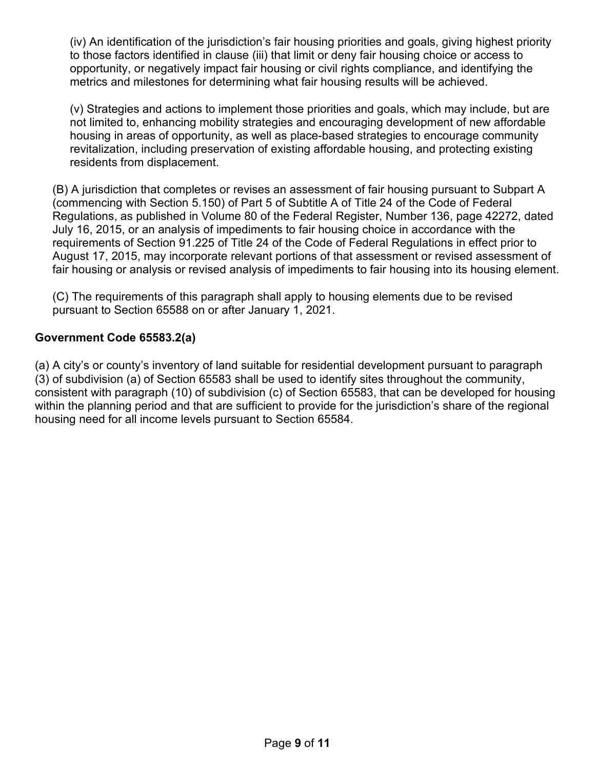(iv) An identification of the jurisdiction's fair housing priorities and goals, giving highest priority to those factors identified in clause (iii) that limit or deny fair housing choice or access to opportunity, or negatively impact fair housing or civil rights compliance, and identifying the metrics and milestones for determining what fair housing results will be achieved.

 housing in areas of opportunity, as well as place-based strategies to encourage community (v) Strategies and actions to implement those priorities and goals, which may include, but are not limited to, enhancing mobility strategies and encouraging development of new affordable revitalization, including preservation of existing affordable housing, and protecting existing residents from displacement.

 (commencing with Section 5.150) of Part 5 of Subtitle A of Title 24 of the Code of Federal August 17, 2015, may incorporate relevant portions of that assessment or revised assessment of (B) A jurisdiction that completes or revises an assessment of fair housing pursuant to Subpart A Regulations, as published in Volume 80 of the Federal Register, Number 136, page 42272, dated July 16, 2015, or an analysis of impediments to fair housing choice in accordance with the requirements of Section 91.225 of Title 24 of the Code of Federal Regulations in effect prior to fair housing or analysis or revised analysis of impediments to fair housing into its housing element.

 (C) The requirements of this paragraph shall apply to housing elements due to be revised pursuant to Section 65588 on or after January 1, 2021.

## **Government Code 65583.2(a)**

 (a) A city's or county's inventory of land suitable for residential development pursuant to paragraph (3) of subdivision (a) of Section 65583 shall be used to identify sites throughout the community, consistent with paragraph (10) of subdivision (c) of Section 65583, that can be developed for housing within the planning period and that are sufficient to provide for the jurisdiction's share of the regional housing need for all income levels pursuant to Section 65584.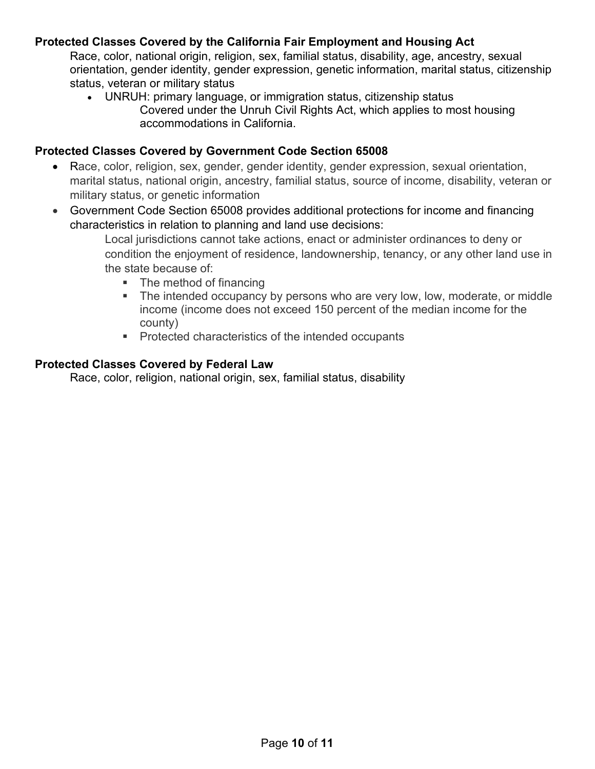## **Protected Classes Covered by the California Fair Employment and Housing Act**

Race, color, national origin, religion, sex, familial status, disability, age, ancestry, sexual orientation, gender identity, gender expression, genetic information, marital status, citizenship status, veteran or military status

• UNRUH: primary language, or immigration status, citizenship status Covered under the Unruh Civil Rights Act, which applies to most housing accommodations in California.

#### **Protected Classes Covered by Government Code Section 65008**

- Race, color, religion, sex, gender, gender identity, gender expression, sexual orientation, marital status, national origin, ancestry, familial status, source of income, disability, veteran or military status, or genetic information
- • Government Code Section 65008 provides additional protections for income and financing characteristics in relation to planning and land use decisions:

 condition the enjoyment of residence, landownership, tenancy, or any other land use in Local jurisdictions cannot take actions, enact or administer ordinances to deny or the state because of:

- The method of financing
- **The intended occupancy by persons who are very low, low, moderate, or middle**  income (income does not exceed 150 percent of the median income for the county)
- **Protected characteristics of the intended occupants**

#### **Protected Classes Covered by Federal Law**

Race, color, religion, national origin, sex, familial status, disability